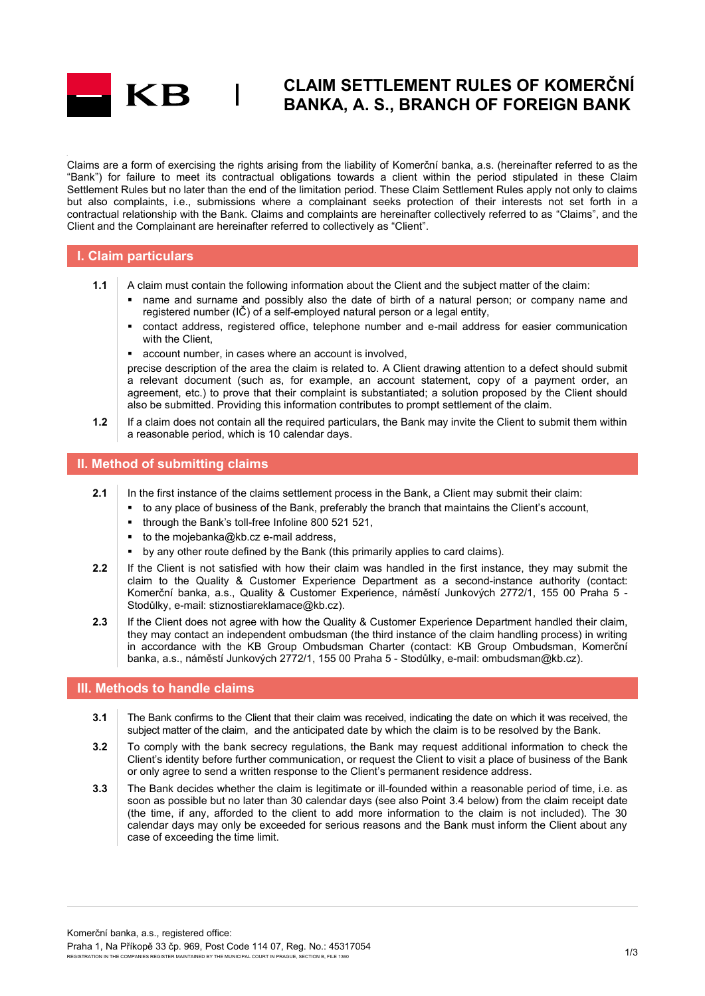

# **CLAIM SETTLEMENT RULES OF KOMERČNÍ BANKA, A. S., BRANCH OF FOREIGN BANK**

Claims are a form of exercising the rights arising from the liability of Komerční banka, a.s. (hereinafter referred to as the "Bank") for failure to meet its contractual obligations towards a client within the period stipulated in these Claim Settlement Rules but no later than the end of the limitation period. These Claim Settlement Rules apply not only to claims but also complaints, i.e., submissions where a complainant seeks protection of their interests not set forth in a contractual relationship with the Bank. Claims and complaints are hereinafter collectively referred to as "Claims", and the Client and the Complainant are hereinafter referred to collectively as "Client".

### **I. Claim particulars**

- **1.1** A claim must contain the following information about the Client and the subject matter of the claim:
	- name and surname and possibly also the date of birth of a natural person; or company name and registered number (IČ) of a self-employed natural person or a legal entity,
	- contact address, registered office, telephone number and e-mail address for easier communication with the Client.
	- account number, in cases where an account is involved,

precise description of the area the claim is related to. A Client drawing attention to a defect should submit a relevant document (such as, for example, an account statement, copy of a payment order, an agreement, etc.) to prove that their complaint is substantiated; a solution proposed by the Client should also be submitted. Providing this information contributes to prompt settlement of the claim.

**1.2** If a claim does not contain all the required particulars, the Bank may invite the Client to submit them within a reasonable period, which is 10 calendar days.

### **II. Method of submitting claims**

- **2.1** In the first instance of the claims settlement process in the Bank, a Client may submit their claim:
	- to any place of business of the Bank, preferably the branch that maintains the Client's account,
	- through the Bank's toll-free Infoline 800 521 521,
	- to the mojebanka@kb.cz e-mail address,
	- by any other route defined by the Bank (this primarily applies to card claims).
- **2.2** If the Client is not satisfied with how their claim was handled in the first instance, they may submit the claim to the Quality & Customer Experience Department as a second-instance authority (contact: Komerční banka, a.s., Quality & Customer Experience, náměstí Junkových 2772/1, 155 00 Praha 5 - Stodůlky, e-mail: stiznostiareklamace@kb.cz).
- 2.3 If the Client does not agree with how the Quality & Customer Experience Department handled their claim, they may contact an independent ombudsman (the third instance of the claim handling process) in writing in accordance with the KB Group Ombudsman Charter (contact: KB Group Ombudsman, Komerční banka, a.s., náměstí Junkových 2772/1, 155 00 Praha 5 - Stodůlky, e-mail: ombudsman@kb.cz).

#### **III. Methods to handle claims**

- **3.1** The Bank confirms to the Client that their claim was received, indicating the date on which it was received, the subject matter of the claim, and the anticipated date by which the claim is to be resolved by the Bank.
- **3.2** To comply with the bank secrecy regulations, the Bank may request additional information to check the Client's identity before further communication, or request the Client to visit a place of business of the Bank or only agree to send a written response to the Client's permanent residence address.
- **3.3** The Bank decides whether the claim is legitimate or ill-founded within a reasonable period of time, i.e. as soon as possible but no later than 30 calendar days (see also Point 3.4 below) from the claim receipt date (the time, if any, afforded to the client to add more information to the claim is not included). The 30 calendar days may only be exceeded for serious reasons and the Bank must inform the Client about any case of exceeding the time limit.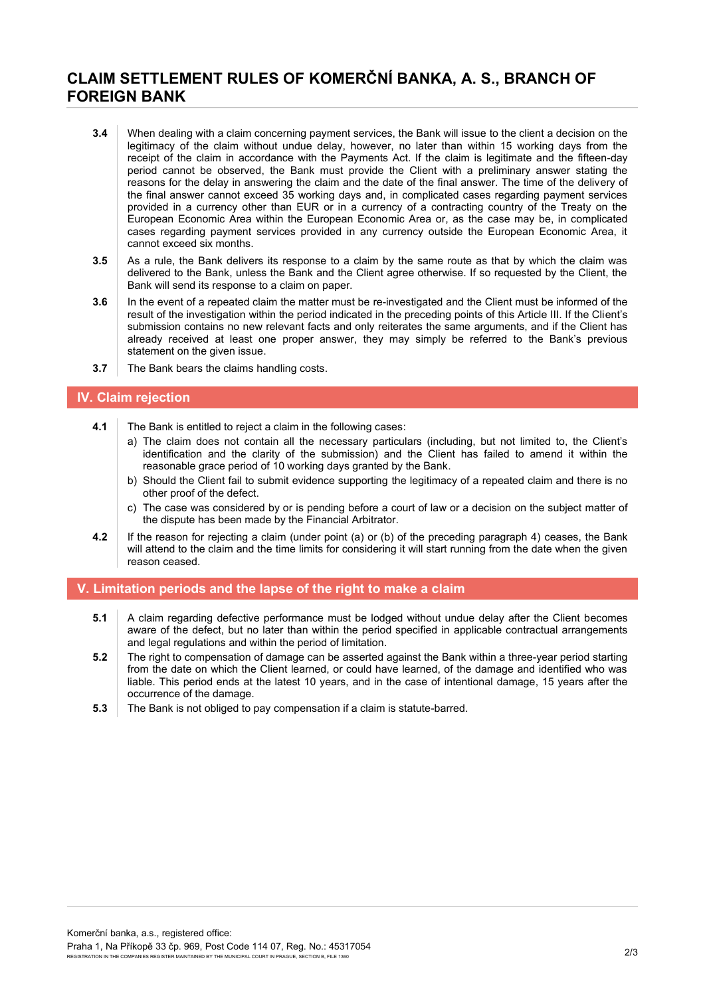# **CLAIM SETTLEMENT RULES OF KOMERČNÍ BANKA, A. S., BRANCH OF FOREIGN BANK**

- **3.4** When dealing with a claim concerning payment services, the Bank will issue to the client a decision on the legitimacy of the claim without undue delay, however, no later than within 15 working days from the receipt of the claim in accordance with the Payments Act. If the claim is legitimate and the fifteen-day period cannot be observed, the Bank must provide the Client with a preliminary answer stating the reasons for the delay in answering the claim and the date of the final answer. The time of the delivery of the final answer cannot exceed 35 working days and, in complicated cases regarding payment services provided in a currency other than EUR or in a currency of a contracting country of the Treaty on the European Economic Area within the European Economic Area or, as the case may be, in complicated cases regarding payment services provided in any currency outside the European Economic Area, it cannot exceed six months.
- **3.5** As a rule, the Bank delivers its response to a claim by the same route as that by which the claim was delivered to the Bank, unless the Bank and the Client agree otherwise. If so requested by the Client, the Bank will send its response to a claim on paper.
- **3.6** In the event of a repeated claim the matter must be re-investigated and the Client must be informed of the result of the investigation within the period indicated in the preceding points of this Article III. If the Client's submission contains no new relevant facts and only reiterates the same arguments, and if the Client has already received at least one proper answer, they may simply be referred to the Bank's previous statement on the given issue.
- **3.7** The Bank bears the claims handling costs.

### **IV. Claim rejection**

- **4.1** The Bank is entitled to reject a claim in the following cases:
	- a) The claim does not contain all the necessary particulars (including, but not limited to, the Client's identification and the clarity of the submission) and the Client has failed to amend it within the reasonable grace period of 10 working days granted by the Bank.
	- b) Should the Client fail to submit evidence supporting the legitimacy of a repeated claim and there is no other proof of the defect.
	- c) The case was considered by or is pending before a court of law or a decision on the subject matter of the dispute has been made by the Financial Arbitrator.
- **4.2** If the reason for rejecting a claim (under point (a) or (b) of the preceding paragraph 4) ceases, the Bank will attend to the claim and the time limits for considering it will start running from the date when the given reason ceased.

### **V. Limitation periods and the lapse of the right to make a claim**

- **5.1** A claim regarding defective performance must be lodged without undue delay after the Client becomes aware of the defect, but no later than within the period specified in applicable contractual arrangements and legal regulations and within the period of limitation.
- **5.2** The right to compensation of damage can be asserted against the Bank within a three-year period starting from the date on which the Client learned, or could have learned, of the damage and identified who was liable. This period ends at the latest 10 years, and in the case of intentional damage, 15 years after the occurrence of the damage.
- **5.3** The Bank is not obliged to pay compensation if a claim is statute-barred.